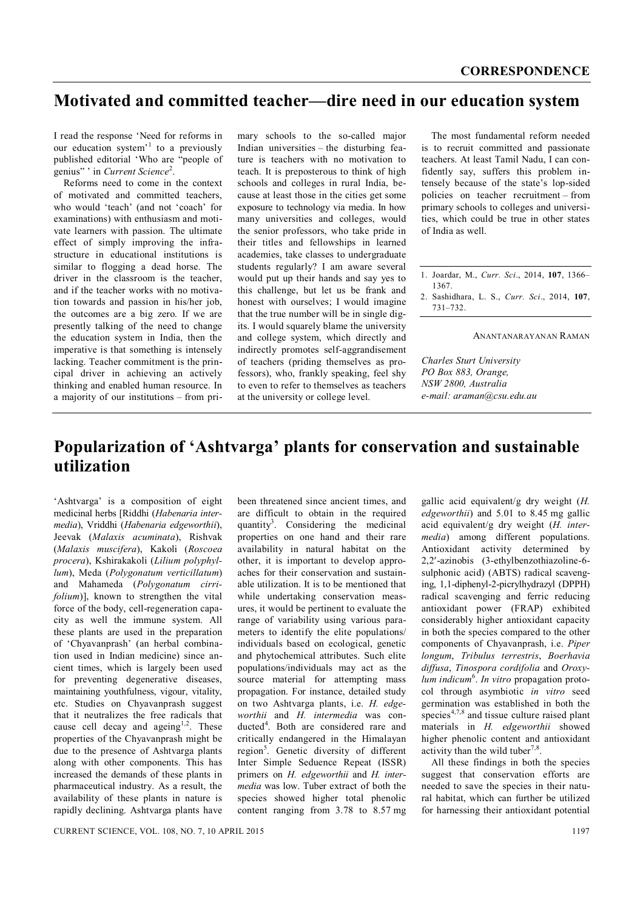## **Motivated and committed teacher—dire need in our education system**

I read the response 'Need for reforms in our education system<sup>'1</sup> to a previously published editorial 'Who are "people of genius" ' in *Current Science*<sup>2</sup>.

Reforms need to come in the context of motivated and committed teachers, who would 'teach' (and not 'coach' for examinations) with enthusiasm and motivate learners with passion. The ultimate effect of simply improving the infrastructure in educational institutions is similar to flogging a dead horse. The driver in the classroom is the teacher, and if the teacher works with no motivation towards and passion in his/her job, the outcomes are a big zero. If we are presently talking of the need to change the education system in India, then the imperative is that something is intensely lacking. Teacher commitment is the principal driver in achieving an actively thinking and enabled human resource. In a majority of our institutions – from pri-

mary schools to the so-called major Indian universities – the disturbing feature is teachers with no motivation to teach. It is preposterous to think of high schools and colleges in rural India, because at least those in the cities get some exposure to technology via media. In how many universities and colleges, would the senior professors, who take pride in their titles and fellowships in learned academies, take classes to undergraduate students regularly? I am aware several would put up their hands and say yes to this challenge, but let us be frank and honest with ourselves; I would imagine that the true number will be in single digits. I would squarely blame the university and college system, which directly and indirectly promotes self-aggrandisement of teachers (priding themselves as professors), who, frankly speaking, feel shy to even to refer to themselves as teachers at the university or college level.

The most fundamental reform needed is to recruit committed and passionate teachers. At least Tamil Nadu, I can confidently say, suffers this problem intensely because of the state's lop-sided policies on teacher recruitment – from primary schools to colleges and universities, which could be true in other states of India as well.

- 1. Joardar, M., *Curr. Sci*., 2014, **107**, 1366– 1367.
- 2. Sashidhara, L. S., *Curr. Sci*., 2014, **107**, 731–732.

ANANTANARAYANAN RAMAN

*Charles Sturt University PO Box 883, Orange, NSW 2800, Australia e-mail: araman@csu.edu.au*

# **Popularization of 'Ashtvarga' plants for conservation and sustainable utilization**

'Ashtvarga' is a composition of eight medicinal herbs [Riddhi (*Habenaria intermedia*), Vriddhi (*Habenaria edgeworthii*), Jeevak (*Malaxis acuminata*), Rishvak (*Malaxis muscifera*), Kakoli (*Roscoea procera*), Kshirakakoli (*Lilium polyphyllum*), Meda (*Polygonatum verticillatum*) and Mahameda (*Polygonatum cirrifolium*)], known to strengthen the vital force of the body, cell-regeneration capacity as well the immune system. All these plants are used in the preparation of 'Chyavanprash' (an herbal combination used in Indian medicine) since ancient times, which is largely been used for preventing degenerative diseases, maintaining youthfulness, vigour, vitality, etc. Studies on Chyavanprash suggest that it neutralizes the free radicals that cause cell decay and ageing<sup>1,2</sup>. These properties of the Chyavanprash might be due to the presence of Ashtvarga plants along with other components. This has increased the demands of these plants in pharmaceutical industry. As a result, the availability of these plants in nature is rapidly declining. Ashtvarga plants have

been threatened since ancient times, and are difficult to obtain in the required quantity<sup>3</sup>. Considering the medicinal properties on one hand and their rare availability in natural habitat on the other, it is important to develop approaches for their conservation and sustainable utilization. It is to be mentioned that while undertaking conservation measures, it would be pertinent to evaluate the range of variability using various parameters to identify the elite populations/ individuals based on ecological, genetic and phytochemical attributes. Such elite populations/individuals may act as the source material for attempting mass propagation. For instance, detailed study on two Ashtvarga plants, i.e. *H. edgeworthii* and *H. intermedia* was conducted<sup>4</sup>. Both are considered rare and critically endangered in the Himalayan region<sup>5</sup>. Genetic diversity of different Inter Simple Seduence Repeat (ISSR) primers on *H. edgeworthii* and *H. intermedia* was low. Tuber extract of both the species showed higher total phenolic content ranging from 3.78 to 8.57 mg

gallic acid equivalent/g dry weight (*H. edgeworthii*) and 5.01 to 8.45 mg gallic acid equivalent/g dry weight (*H. intermedia*) among different populations. Antioxidant activity determined by 2,2-azinobis (3-ethylbenzothiazoline-6 sulphonic acid) (ABTS) radical scavenging, 1,1-diphenyl-2-picrylhydrazyl (DPPH) radical scavenging and ferric reducing antioxidant power (FRAP) exhibited considerably higher antioxidant capacity in both the species compared to the other components of Chyavanprash, i.e. *Piper longum*, *Tribulus terrestris*, *Boerhavia diffusa*, *Tinospora cordifolia* and *Oroxy*lum indicum<sup>6</sup>. In vitro propagation protocol through asymbiotic *in vitro* seed germination was established in both the species<sup>4,7,8</sup> and tissue culture raised plant materials in *H. edgeworthii* showed higher phenolic content and antioxidant activity than the wild tuber<sup>7,8</sup>.

All these findings in both the species suggest that conservation efforts are needed to save the species in their natural habitat, which can further be utilized for harnessing their antioxidant potential